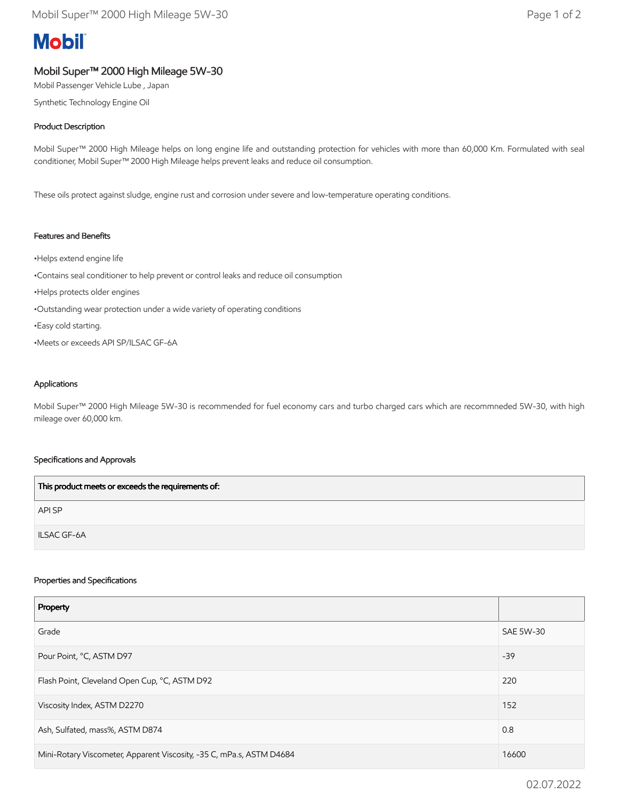# **Mobil**

## Mobil Super™ 2000 High Mileage 5W-30

Mobil Passenger Vehicle Lube , Japan

Synthetic Technology Engine Oil

## Product Description

Mobil Super™ 2000 High Mileage helps on long engine life and outstanding protection for vehicles with more than 60,000 Km. Formulated with seal conditioner, Mobil Super™ 2000 High Mileage helps prevent leaks and reduce oil consumption.

These oils protect against sludge, engine rust and corrosion under severe and low-temperature operating conditions.

### Features and Benefits

•Helps extend engine life •Contains seal conditioner to help prevent or control leaks and reduce oil consumption •Helps protects older engines •Outstanding wear protection under a wide variety of operating conditions •Easy cold starting. •Meets or exceeds API SP/ILSAC GF-6A

#### Applications

Mobil Super™ 2000 High Mileage 5W-30 is recommended for fuel economy cars and turbo charged cars which are recommneded 5W-30, with high mileage over 60,000 km.

#### Specifications and Approvals

| This product meets or exceeds the requirements of: |
|----------------------------------------------------|
| API SP                                             |
| <b>ILSAC GF-6A</b>                                 |

#### Properties and Specifications

| Property                                                             |                  |
|----------------------------------------------------------------------|------------------|
| Grade                                                                | <b>SAE 5W-30</b> |
| Pour Point, °C, ASTM D97                                             | $-39$            |
| Flash Point, Cleveland Open Cup, °C, ASTM D92                        | 220              |
| Viscosity Index, ASTM D2270                                          | 152              |
| Ash, Sulfated, mass%, ASTM D874                                      | 0.8              |
| Mini-Rotary Viscometer, Apparent Viscosity, -35 C, mPa.s, ASTM D4684 | 16600            |